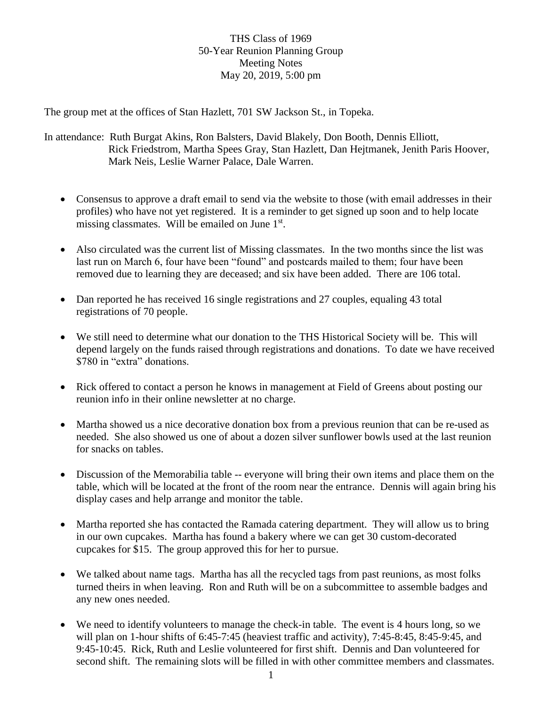## THS Class of 1969 50-Year Reunion Planning Group Meeting Notes May 20, 2019, 5:00 pm

The group met at the offices of Stan Hazlett, 701 SW Jackson St., in Topeka.

In attendance: Ruth Burgat Akins, Ron Balsters, David Blakely, Don Booth, Dennis Elliott, Rick Friedstrom, Martha Spees Gray, Stan Hazlett, Dan Hejtmanek, Jenith Paris Hoover, Mark Neis, Leslie Warner Palace, Dale Warren.

- Consensus to approve a draft email to send via the website to those (with email addresses in their profiles) who have not yet registered. It is a reminder to get signed up soon and to help locate missing classmates. Will be emailed on June 1<sup>st</sup>.
- Also circulated was the current list of Missing classmates. In the two months since the list was last run on March 6, four have been "found" and postcards mailed to them; four have been removed due to learning they are deceased; and six have been added. There are 106 total.
- Dan reported he has received 16 single registrations and 27 couples, equaling 43 total registrations of 70 people.
- We still need to determine what our donation to the THS Historical Society will be. This will depend largely on the funds raised through registrations and donations. To date we have received \$780 in "extra" donations.
- Rick offered to contact a person he knows in management at Field of Greens about posting our reunion info in their online newsletter at no charge.
- Martha showed us a nice decorative donation box from a previous reunion that can be re-used as needed. She also showed us one of about a dozen silver sunflower bowls used at the last reunion for snacks on tables.
- Discussion of the Memorabilia table -- everyone will bring their own items and place them on the table, which will be located at the front of the room near the entrance. Dennis will again bring his display cases and help arrange and monitor the table.
- Martha reported she has contacted the Ramada catering department. They will allow us to bring in our own cupcakes. Martha has found a bakery where we can get 30 custom-decorated cupcakes for \$15. The group approved this for her to pursue.
- We talked about name tags. Martha has all the recycled tags from past reunions, as most folks turned theirs in when leaving. Ron and Ruth will be on a subcommittee to assemble badges and any new ones needed.
- We need to identify volunteers to manage the check-in table. The event is 4 hours long, so we will plan on 1-hour shifts of 6:45-7:45 (heaviest traffic and activity), 7:45-8:45, 8:45-9:45, and 9:45-10:45. Rick, Ruth and Leslie volunteered for first shift. Dennis and Dan volunteered for second shift. The remaining slots will be filled in with other committee members and classmates.